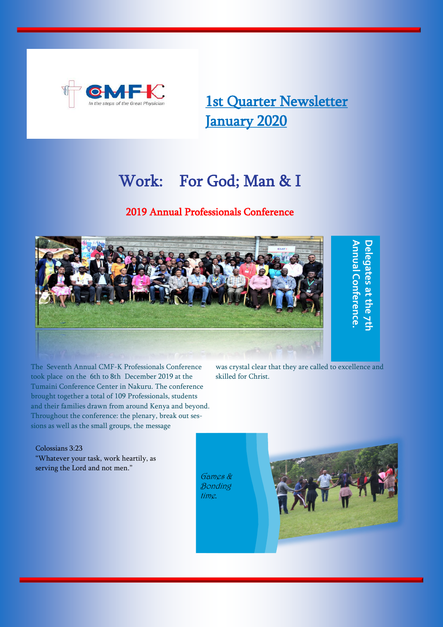

1st Quarter Newsletter January 2020

# Work: For God; Man & I

## 2019 Annual Professionals Conference



The Seventh Annual CMF-K Professionals Conference took place on the 6th to 8th December 2019 at the Tumaini Conference Center in Nakuru. The conference brought together a total of 109 Professionals, students and their families drawn from around Kenya and beyond. Throughout the conference: the plenary, break out sessions as well as the small groups, the message

was crystal clear that they are called to excellence and skilled for Christ.

Colossians 3:23 "Whatever your task, work heartily, as serving the Lord and not men."

Games & Bonding time.

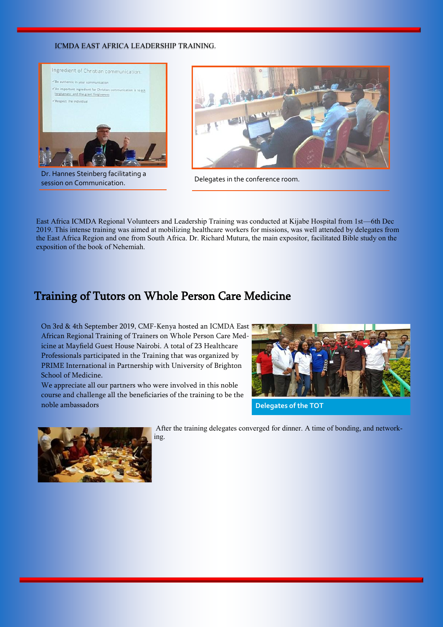### ICMDA EAST AFRICA LEADERSHIP TRAINING.



Dr. Hannes Steinberg facilitating a session on Communication. Delegates in the conference room.



East Africa ICMDA Regional Volunteers and Leadership Training was conducted at Kijabe Hospital from 1st—6th Dec 2019. This intense training was aimed at mobilizing healthcare workers for missions, was well attended by delegates from the East Africa Region and one from South Africa. Dr. Richard Mutura, the main expositor, facilitated Bible study on the exposition of the book of Nehemiah.

# Training of Tutors on Whole Person Care Medicine

On 3rd & 4th September 2019, CMF-Kenya hosted an ICMDA East African Regional Training of Trainers on Whole Person Care Medicine at Mayfield Guest House Nairobi. A total of 23 Healthcare Professionals participated in the Training that was organized by PRIME International in Partnership with University of Brighton School of Medicine.

We appreciate all our partners who were involved in this noble course and challenge all the beneficiaries of the training to be the noble ambassadors



**Delegates of the TOT**



After the training delegates converged for dinner. A time of bonding, and networking.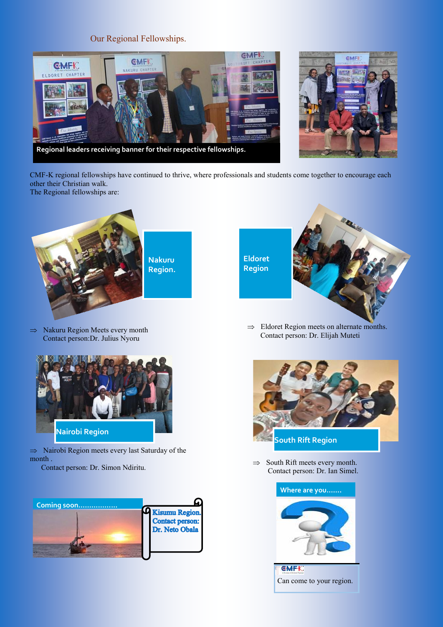## Our Regional Fellowships.





CMF-K regional fellowships have continued to thrive, where professionals and students come together to encourage each other their Christian walk.

The Regional fellowships are:



 $\Rightarrow$  Nakuru Region Meets every month Contact person:Dr. Julius Nyoru



 $\Rightarrow$  Nairobi Region meets every last Saturday of the month .

Contact person: Dr. Simon Ndiritu.





 $\Rightarrow$  Eldoret Region meets on alternate months. Contact person: Dr. Elijah Muteti



 $\Rightarrow$  South Rift meets every month. Contact person: Dr. Ian Simel.

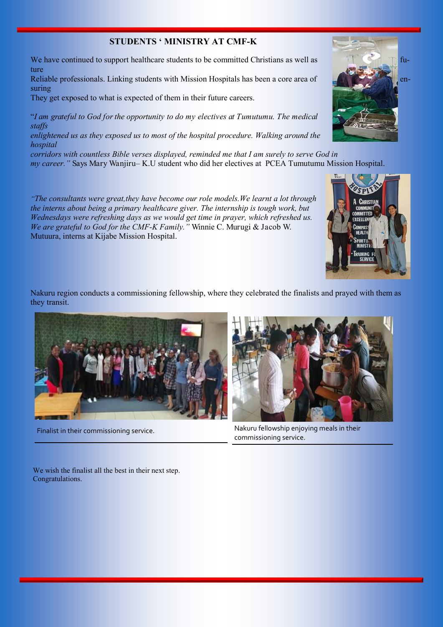## **STUDENTS ' MINISTRY AT CMF-K**

We have continued to support healthcare students to be committed Christians as well as  $\frac{1}{\sqrt{2}}$  future

Reliable professionals. Linking students with Mission Hospitals has been a core area of  $\Box$ suring

They get exposed to what is expected of them in their future careers.

"*I am grateful to God for the opportunity to do my electives at Tumutumu. The medical staffs* 

*enlightened us as they exposed us to most of the hospital procedure. Walking around the hospital* 

*corridors with countless Bible verses displayed, reminded me that I am surely to serve God in my career."* Says Mary Wanjiru– K.U student who did her electives at PCEA Tumutumu Mission Hospital.

*"The consultants were great,they have become our role models.We learnt a lot through the interns about being a primary healthcare giver. The internship is tough work, but Wednesdays were refreshing days as we would get time in prayer, which refreshed us. We are grateful to God for the CMF-K Family."* Winnie C. Murugi & Jacob W. Mutuura, interns at Kijabe Mission Hospital.

Nakuru region conducts a commissioning fellowship, where they celebrated the finalists and prayed with them as they transit.





Finalist in their commissioning service. Nakuru fellowship enjoying meals in their commissioning service.

We wish the finalist all the best in their next step. Congratulations.